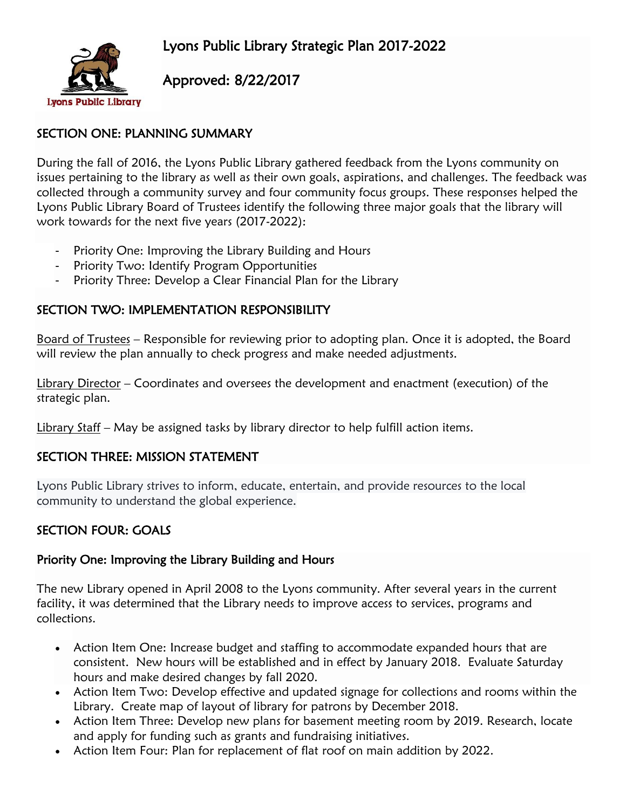

Approved: 8/22/2017

# SECTION ONE: PLANNING SUMMARY

During the fall of 2016, the Lyons Public Library gathered feedback from the Lyons community on issues pertaining to the library as well as their own goals, aspirations, and challenges. The feedback was collected through a community survey and four community focus groups. These responses helped the Lyons Public Library Board of Trustees identify the following three major goals that the library will work towards for the next five years (2017-2022):

- Priority One: Improving the Library Building and Hours
- Priority Two: Identify Program Opportunities
- Priority Three: Develop a Clear Financial Plan for the Library

# SECTION TWO: IMPLEMENTATION RESPONSIBILITY

Board of Trustees – Responsible for reviewing prior to adopting plan. Once it is adopted, the Board will review the plan annually to check progress and make needed adjustments.

Library Director – Coordinates and oversees the development and enactment (execution) of the strategic plan.

Library Staff – May be assigned tasks by library director to help fulfill action items.

### SECTION THREE: MISSION STATEMENT

Lyons Public Library strives to inform, educate, entertain, and provide resources to the local community to understand the global experience.

# SECTION FOUR: GOALS

### Priority One: Improving the Library Building and Hours

The new Library opened in April 2008 to the Lyons community. After several years in the current facility, it was determined that the Library needs to improve access to services, programs and collections.

- Action Item One: Increase budget and staffing to accommodate expanded hours that are consistent. New hours will be established and in effect by January 2018. Evaluate Saturday hours and make desired changes by fall 2020.
- Action Item Two: Develop effective and updated signage for collections and rooms within the Library. Create map of layout of library for patrons by December 2018.
- Action Item Three: Develop new plans for basement meeting room by 2019. Research, locate and apply for funding such as grants and fundraising initiatives.
- Action Item Four: Plan for replacement of flat roof on main addition by 2022.